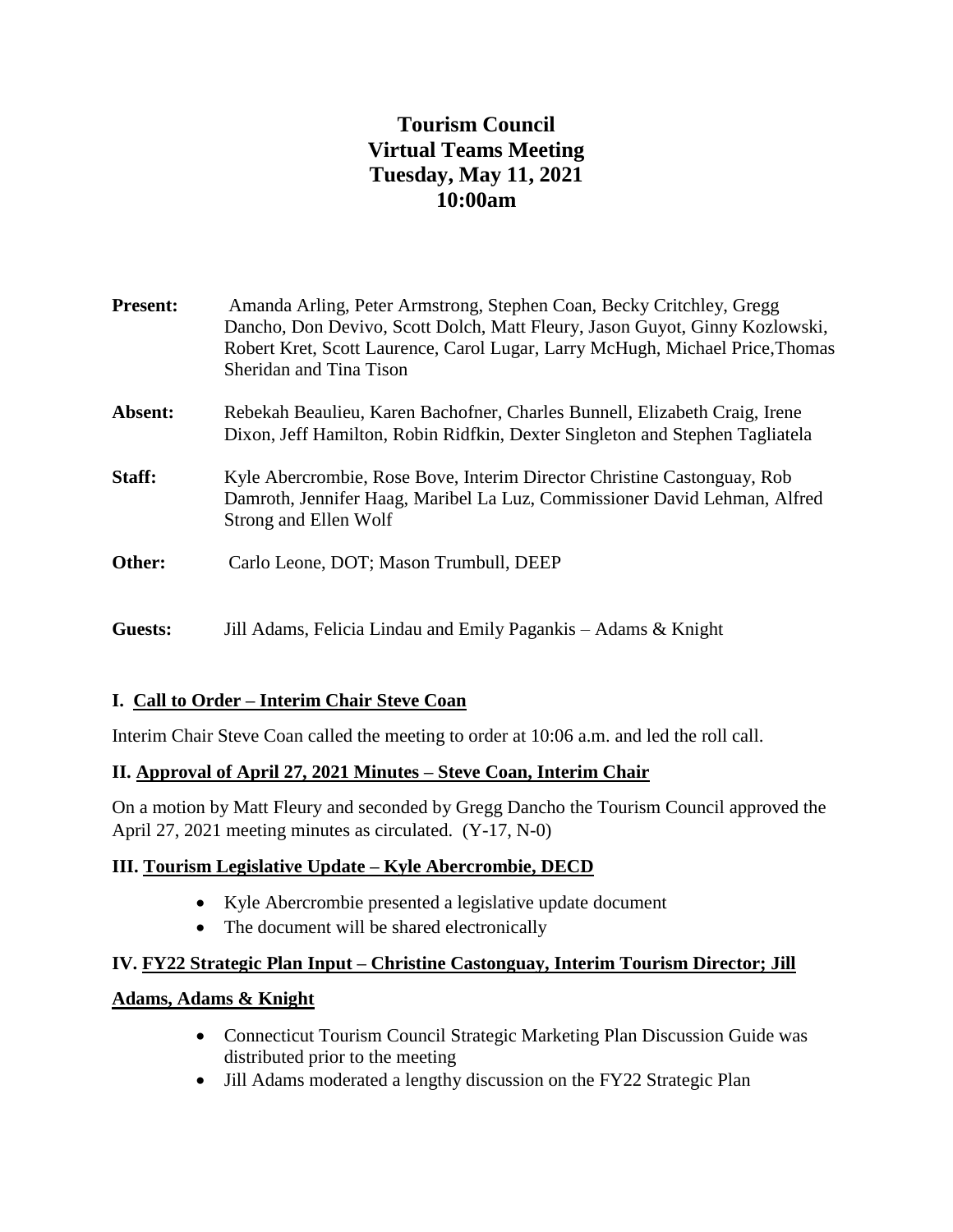# **Tourism Council Virtual Teams Meeting Tuesday, May 11, 2021 10:00am**

| <b>Present:</b> | Amanda Arling, Peter Armstrong, Stephen Coan, Becky Critchley, Gregg<br>Dancho, Don Devivo, Scott Dolch, Matt Fleury, Jason Guyot, Ginny Kozlowski,<br>Robert Kret, Scott Laurence, Carol Lugar, Larry McHugh, Michael Price, Thomas<br>Sheridan and Tina Tison |
|-----------------|-----------------------------------------------------------------------------------------------------------------------------------------------------------------------------------------------------------------------------------------------------------------|
| Absent:         | Rebekah Beaulieu, Karen Bachofner, Charles Bunnell, Elizabeth Craig, Irene<br>Dixon, Jeff Hamilton, Robin Ridfkin, Dexter Singleton and Stephen Tagliatela                                                                                                      |
| Staff:          | Kyle Abercrombie, Rose Bove, Interim Director Christine Castonguay, Rob<br>Damroth, Jennifer Haag, Maribel La Luz, Commissioner David Lehman, Alfred<br>Strong and Ellen Wolf                                                                                   |
| Other:          | Carlo Leone, DOT; Mason Trumbull, DEEP                                                                                                                                                                                                                          |
| Guests:         | Jill Adams, Felicia Lindau and Emily Pagankis – Adams & Knight                                                                                                                                                                                                  |

## **I. Call to Order – Interim Chair Steve Coan**

Interim Chair Steve Coan called the meeting to order at 10:06 a.m. and led the roll call.

## **II. Approval of April 27, 2021 Minutes – Steve Coan, Interim Chair**

On a motion by Matt Fleury and seconded by Gregg Dancho the Tourism Council approved the April 27, 2021 meeting minutes as circulated. (Y-17, N-0)

### **III. Tourism Legislative Update – Kyle Abercrombie, DECD**

- Kyle Abercrombie presented a legislative update document
- The document will be shared electronically

# **IV. FY22 Strategic Plan Input – Christine Castonguay, Interim Tourism Director; Jill**

### **Adams, Adams & Knight**

- Connecticut Tourism Council Strategic Marketing Plan Discussion Guide was distributed prior to the meeting
- Jill Adams moderated a lengthy discussion on the FY22 Strategic Plan